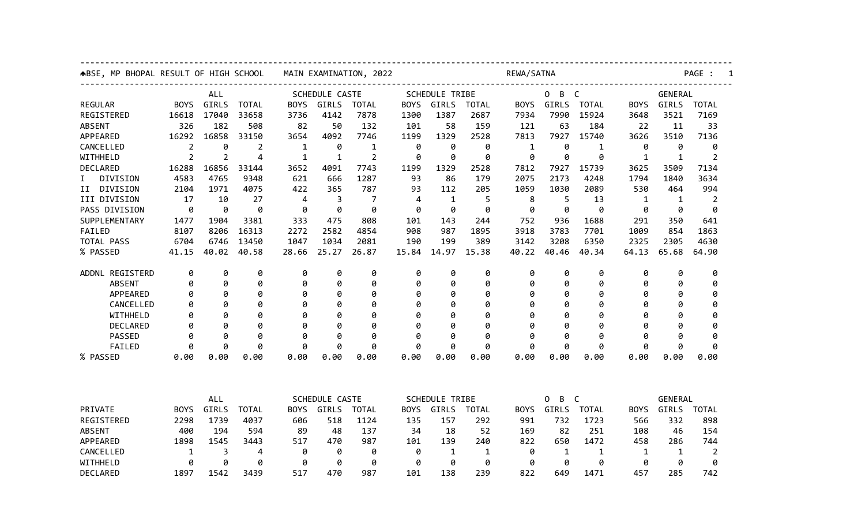| ABSE, MP BHOPAL RESULT OF HIGH SCHOOL |             |            |              | MAIN EXAMINATION, 2022 |       |              |                       | REWA/SATNA                                        |              |                        |       |              |              | PAGE :         |                |  |  |
|---------------------------------------|-------------|------------|--------------|------------------------|-------|--------------|-----------------------|---------------------------------------------------|--------------|------------------------|-------|--------------|--------------|----------------|----------------|--|--|
|                                       |             | <b>ALL</b> |              | <b>SCHEDULE CASTE</b>  |       |              |                       | <b>SCHEDULE TRIBE</b><br>0<br>B<br>$\overline{C}$ |              |                        |       |              |              | <b>GENERAL</b> |                |  |  |
| <b>REGULAR</b>                        | <b>BOYS</b> | GIRLS      | <b>TOTAL</b> | <b>BOYS</b>            | GIRLS | TOTAL        | <b>BOYS</b>           | GIRLS                                             | <b>TOTAL</b> | <b>BOYS</b>            | GIRLS | <b>TOTAL</b> | <b>BOYS</b>  | GIRLS          | <b>TOTAL</b>   |  |  |
| REGISTERED                            | 16618       | 17040      | 33658        | 3736                   | 4142  | 7878         | 1300                  | 1387                                              | 2687         | 7934                   | 7990  | 15924        | 3648         | 3521           | 7169           |  |  |
| <b>ABSENT</b>                         | 326         | 182        | 508          | 82                     | 50    | 132          | 101                   | 58                                                | 159          | 121                    | 63    | 184          | 22           | 11             | 33             |  |  |
| APPEARED                              | 16292       | 16858      | 33150        | 3654                   | 4092  | 7746         | 1199                  | 1329                                              | 2528         | 7813                   | 7927  | 15740        | 3626         | 3510           | 7136           |  |  |
| CANCELLED                             | 2           | 0          | 2            | 1                      | 0     | 1            | 0                     | 0                                                 | 0            | $\mathbf{1}$           | 0     | 1            | 0            | 0              | 0              |  |  |
| WITHHELD                              | 2           | 2          | 4            | 1                      | 1     | 2            | 0                     | 0                                                 | 0            | 0                      | 0     | 0            | 1            | 1              | 2              |  |  |
| DECLARED                              | 16288       | 16856      | 33144        | 3652                   | 4091  | 7743         | 1199                  | 1329                                              | 2528         | 7812                   | 7927  | 15739        | 3625         | 3509           | 7134           |  |  |
| DIVISION<br>I.                        | 4583        | 4765       | 9348         | 621                    | 666   | 1287         | 93                    | 86                                                | 179          | 2075                   | 2173  | 4248         | 1794         | 1840           | 3634           |  |  |
| II DIVISION                           | 2104        | 1971       | 4075         | 422                    | 365   | 787          | 93                    | 112                                               | 205          | 1059                   | 1030  | 2089         | 530          | 464            | 994            |  |  |
| III DIVISION                          | 17          | 10         | 27           | 4                      | 3     | 7            | 4                     | 1                                                 | 5            | 8                      | 5     | 13           | $\mathbf{1}$ | 1              | $\overline{2}$ |  |  |
| PASS DIVISION                         | 0           | 0          | 0            | 0                      | 0     | 0            | 0                     | 0                                                 | 0            | 0                      | 0     | 0            | 0            | 0              | 0              |  |  |
| SUPPLEMENTARY                         | 1477        | 1904       | 3381         | 333                    | 475   | 808          | 101                   | 143                                               | 244          | 752                    | 936   | 1688         | 291          | 350            | 641            |  |  |
| FAILED                                | 8107        | 8206       | 16313        | 2272                   | 2582  | 4854         | 908                   | 987                                               | 1895         | 3918                   | 3783  | 7701         | 1009         | 854            | 1863           |  |  |
| TOTAL PASS                            | 6704        | 6746       | 13450        | 1047                   | 1034  | 2081         | 190                   | 199                                               | 389          | 3142                   | 3208  | 6350         | 2325         | 2305           | 4630           |  |  |
| % PASSED                              | 41.15       | 40.02      | 40.58        | 28.66                  | 25.27 | 26.87        | 15.84                 | 14.97                                             | 15.38        | 40.22                  | 40.46 | 40.34        | 64.13        | 65.68          | 64.90          |  |  |
| ADDNL REGISTERD                       | 0           | 0          | 0            | 0                      | 0     | 0            | 0                     | 0                                                 | 0            | 0                      | 0     | 0            | 0            | 0              | 0              |  |  |
| <b>ABSENT</b>                         | 0           | 0          | 0            | 0                      | 0     | 0            | 0                     | 0                                                 | 0            | 0                      | 0     | 0            | 0            | 0              | 0              |  |  |
| APPEARED                              | 0           | 0          | 0            | 0                      | 0     | 0            | 0                     | Ø                                                 | 0            | Ø                      | 0     | 0            | 0            | Ø              | 0              |  |  |
| CANCELLED                             | 0           | Ø          | 0            | 0                      | 0     | 0            | 0                     | g                                                 | 0            | Ø                      | 0     | 0            | 0            | Ø              | 0              |  |  |
| WITHHELD                              | 0           | Ø          | 0            | Ø                      | 0     | 0            | 0                     | Ø                                                 | 0            | Ø                      | 0     | 0            | Ø            | Ø              | 0              |  |  |
| <b>DECLARED</b>                       | ø           | Ø          | 0            | ø                      | 0     | 0            | 0                     | g                                                 | 0            | Ø                      | 0     | 0            | ø            | Ø              | 0              |  |  |
| <b>PASSED</b>                         | ø           | Ø          | 0            | ø                      | 0     | 0            | 0                     | Ø                                                 | 0            | ø                      | 0     | 0            | ø            | ø              | ø              |  |  |
| FAILED                                | 0           | ø          | 0            | 0                      | 0     | 0            | 0                     | ø                                                 | 0            | ø                      | 0     | 0            | 0            | 0              | 0              |  |  |
| % PASSED                              | 0.00        | 0.00       | 0.00         | 0.00                   | 0.00  | 0.00         | 0.00                  | 0.00                                              | 0.00         | 0.00                   | 0.00  | 0.00         | 0.00         | 0.00           | 0.00           |  |  |
|                                       |             |            |              |                        |       |              |                       |                                                   |              |                        |       |              |              |                |                |  |  |
|                                       |             | ALL        |              | SCHEDULE CASTE         |       |              | <b>SCHEDULE TRIBE</b> |                                                   |              | B<br>$\mathsf{C}$<br>0 |       |              | GENERAL      |                |                |  |  |
| PRIVATE                               | <b>BOYS</b> | GIRLS      | <b>TOTAL</b> | <b>BOYS</b>            | GIRLS | <b>TOTAL</b> | <b>BOYS</b>           | GIRLS                                             | <b>TOTAL</b> | BOYS                   | GIRLS | <b>TOTAL</b> | <b>BOYS</b>  | GIRLS          | <b>TOTAL</b>   |  |  |
| REGISTERED                            | 2298        | 1739       | 4037         | 606                    | 518   | 1124         | 135                   | 157                                               | 292          | 991                    | 732   | 1723         | 566          | 332            | 898            |  |  |
| <b>ABSENT</b>                         | 400         | 194        | 594          | 89                     | 48    | 137          | 34                    | 18                                                | 52           | 169                    | 82    | 251          | 108          | 46             | 154            |  |  |
| APPEARED                              | 1898        | 1545       | 3443         | 517                    | 470   | 987          | 101                   | 139                                               | 240          | 822                    | 650   | 1472         | 458          | 286            | 744            |  |  |
| CANCELLED                             | 1           | 3          | 4            | 0                      | 0     | 0            | 0                     | 1                                                 | 1            | 0                      | 1     | 1            | 1            | 1              | 2              |  |  |
| WITHHELD                              | 0           | 0          | 0            | 0                      | 0     | 0            | 0                     | 0                                                 | 0            | 0                      | 0     | 0            | 0            | 0              | 0              |  |  |
| DECLARED                              | 1897        | 1542       | 3439         | 517                    | 470   | 987          | 101                   | 138                                               | 239          | 822                    | 649   | 1471         | 457          | 285            | 742            |  |  |